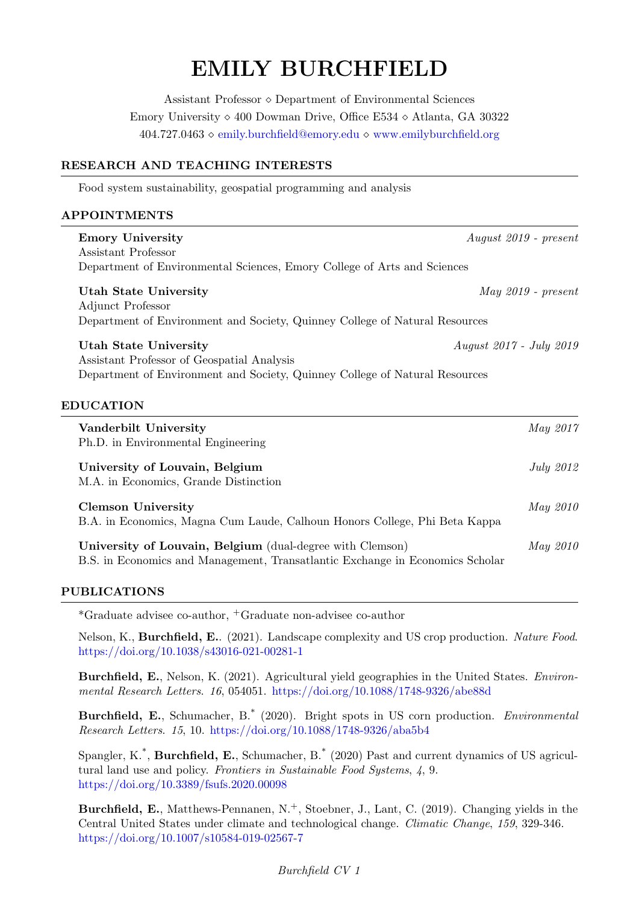# EMILY BURCHFIELD

Assistant Professor Department of Environmental Sciences Emory University  $\Diamond$  400 Dowman Drive, Office E534  $\Diamond$  Atlanta, GA 30322 404.727.0463 [emily.burchfield@emory.edu](mailto:emily.burchfield@emory.edu) <www.emilyburchfield.org>

# RESEARCH AND TEACHING INTERESTS

Food system sustainability, geospatial programming and analysis

# APPOINTMENTS

| <b>Emory University</b>                                                                                                                    | $August 2019$ - $present$      |
|--------------------------------------------------------------------------------------------------------------------------------------------|--------------------------------|
| Assistant Professor                                                                                                                        |                                |
| Department of Environmental Sciences, Emory College of Arts and Sciences                                                                   |                                |
| <b>Utah State University</b><br>Adjunct Professor<br>Department of Environment and Society, Quinney College of Natural Resources           | $May 2019$ - $present$         |
| Utah State University                                                                                                                      | <i>August 2017 - July 2019</i> |
| Assistant Professor of Geospatial Analysis                                                                                                 |                                |
| Department of Environment and Society, Quinney College of Natural Resources                                                                |                                |
|                                                                                                                                            |                                |
| <b>EDUCATION</b>                                                                                                                           |                                |
| Vanderbilt University                                                                                                                      | May 2017                       |
| Ph.D. in Environmental Engineering                                                                                                         |                                |
| University of Louvain, Belgium<br>M.A. in Economics, Grande Distinction                                                                    | <b>July 2012</b>               |
| <b>Clemson University</b>                                                                                                                  | May 2010                       |
| B.A. in Economics, Magna Cum Laude, Calhoun Honors College, Phi Beta Kappa                                                                 |                                |
| University of Louvain, Belgium (dual-degree with Clemson)<br>B.S. in Economics and Management, Transatlantic Exchange in Economics Scholar | May 2010                       |

# PUBLICATIONS

\*Graduate advisee co-author, <sup>+</sup>Graduate non-advisee co-author

Nelson, K., Burchfield, E.. (2021). Landscape complexity and US crop production. Nature Food. <https://doi.org/10.1038/s43016-021-00281-1>

Burchfield, E., Nelson, K. (2021). Agricultural yield geographies in the United States. Environmental Research Letters. 16, 054051. <https://doi.org/10.1088/1748-9326/abe88d>

Burchfield, E., Schumacher, B.\* (2020). Bright spots in US corn production. Environmental Research Letters. 15, 10. <https://doi.org/10.1088/1748-9326/aba5b4>

Spangler, K.<sup>\*</sup>, **Burchfield, E.**, Schumacher, B.<sup>\*</sup> (2020) Past and current dynamics of US agricultural land use and policy. Frontiers in Sustainable Food Systems,  $\lambda$ , 9. <https://doi.org/10.3389/fsufs.2020.00098>

Burchfield, E., Matthews-Pennanen, N.<sup>+</sup>, Stoebner, J., Lant, C. (2019). Changing yields in the Central United States under climate and technological change. Climatic Change, 159, 329-346. <https://doi.org/10.1007/s10584-019-02567-7>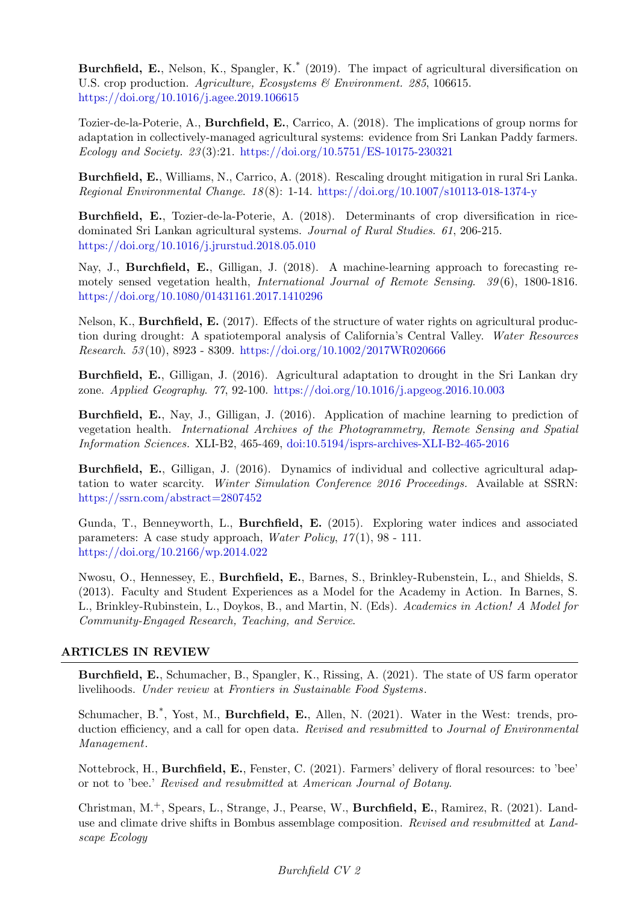Burchfield, E., Nelson, K., Spangler, K.<sup>\*</sup> (2019). The impact of agricultural diversification on U.S. crop production. Agriculture, Ecosystems & Environment. 285, 106615. <https://doi.org/10.1016/j.agee.2019.106615>

Tozier-de-la-Poterie, A., Burchfield, E., Carrico, A. (2018). The implications of group norms for adaptation in collectively-managed agricultural systems: evidence from Sri Lankan Paddy farmers. Ecology and Society. 23 (3):21. <https://doi.org/10.5751/ES-10175-230321>

Burchfield, E., Williams, N., Carrico, A. (2018). Rescaling drought mitigation in rural Sri Lanka. Regional Environmental Change. 18 (8): 1-14. <https://doi.org/10.1007/s10113-018-1374-y>

Burchfield, E., Tozier-de-la-Poterie, A. (2018). Determinants of crop diversification in ricedominated Sri Lankan agricultural systems. Journal of Rural Studies. 61, 206-215. <https://doi.org/10.1016/j.jrurstud.2018.05.010>

Nay, J., Burchfield, E., Gilligan, J. (2018). A machine-learning approach to forecasting remotely sensed vegetation health, International Journal of Remote Sensing. 39 (6), 1800-1816. [https://doi.org/10.1080/01431161.2017.1410296]( https://doi.org/10.1080/01431161.2017.1410296)

Nelson, K., Burchfield, E. (2017). Effects of the structure of water rights on agricultural production during drought: A spatiotemporal analysis of California's Central Valley. Water Resources Research. 53 (10), 8923 - 8309. <https://doi.org/10.1002/2017WR020666>

Burchfield, E., Gilligan, J. (2016). Agricultural adaptation to drought in the Sri Lankan dry zone. Applied Geography. 77, 92-100. <https://doi.org/10.1016/j.apgeog.2016.10.003>

Burchfield, E., Nay, J., Gilligan, J. (2016). Application of machine learning to prediction of vegetation health. International Archives of the Photogrammetry, Remote Sensing and Spatial Information Sciences. XLI-B2, 465-469, [doi:10.5194/isprs-archives-XLI-B2-465-2016](http://www.int-arch-photogramm-remote-sens-spatial-inf-sci.net/XLI-B2/465/2016/isprs-archives-XLI-B2-465-2016.pdf)

Burchfield, E., Gilligan, J. (2016). Dynamics of individual and collective agricultural adaptation to water scarcity. Winter Simulation Conference 2016 Proceedings. Available at SSRN: <https://ssrn.com/abstract=2807452>

Gunda, T., Benneyworth, L., Burchfield, E. (2015). Exploring water indices and associated parameters: A case study approach, *Water Policy*,  $17(1)$ , 98 - 111. <https://doi.org/10.2166/wp.2014.022>

Nwosu, O., Hennessey, E., Burchfield, E., Barnes, S., Brinkley-Rubenstein, L., and Shields, S. (2013). Faculty and Student Experiences as a Model for the Academy in Action. In Barnes, S. L., Brinkley-Rubinstein, L., Doykos, B., and Martin, N. (Eds). Academics in Action! A Model for Community-Engaged Research, Teaching, and Service.

# ARTICLES IN REVIEW

Burchfield, E., Schumacher, B., Spangler, K., Rissing, A. (2021). The state of US farm operator livelihoods. Under review at Frontiers in Sustainable Food Systems.

Schumacher, B.<sup>\*</sup>, Yost, M., **Burchfield, E.**, Allen, N. (2021). Water in the West: trends, production efficiency, and a call for open data. Revised and resubmitted to Journal of Environmental Management.

Nottebrock, H., Burchfield, E., Fenster, C. (2021). Farmers' delivery of floral resources: to 'bee' or not to 'bee.' Revised and resubmitted at American Journal of Botany.

Christman, M.+, Spears, L., Strange, J., Pearse, W., Burchfield, E., Ramirez, R. (2021). Landuse and climate drive shifts in Bombus assemblage composition. Revised and resubmitted at Landscape Ecology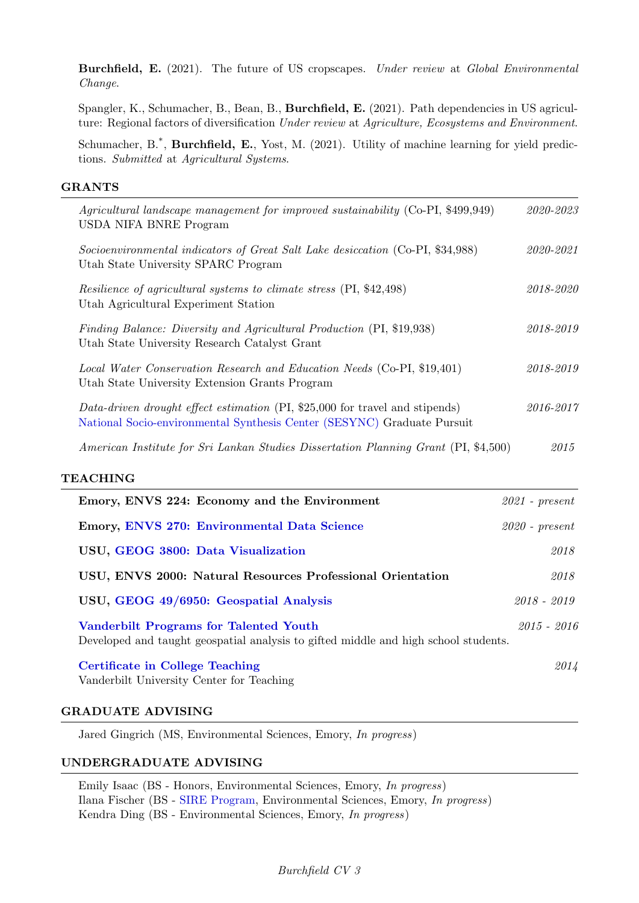Burchfield, E. (2021). The future of US cropscapes. Under review at Global Environmental Change.

Spangler, K., Schumacher, B., Bean, B., Burchfield, E. (2021). Path dependencies in US agriculture: Regional factors of diversification Under review at Agriculture, Ecosystems and Environment.

Schumacher, B.<sup>\*</sup>, **Burchfield, E.**, Yost, M. (2021). Utility of machine learning for yield predictions. Submitted at Agricultural Systems.

# GRANTS

| Agricultural landscape management for improved sustainability (Co-PI, \$499,949)<br><b>USDA NIFA BNRE Program</b>                                       | 2020-2023          |
|---------------------------------------------------------------------------------------------------------------------------------------------------------|--------------------|
| Socioenvironmental indicators of Great Salt Lake desiccation (Co-PI, \$34,988)<br>Utah State University SPARC Program                                   | 2020-2021          |
| Resilience of agricultural systems to climate stress (PI, \$42,498)<br>Utah Agricultural Experiment Station                                             | 2018-2020          |
| Finding Balance: Diversity and Agricultural Production (PI, \$19,938)<br>Utah State University Research Catalyst Grant                                  | 2018-2019          |
| Local Water Conservation Research and Education Needs (Co-PI, \$19,401)<br>Utah State University Extension Grants Program                               | 2018-2019          |
| Data-driven drought effect estimation (PI, \$25,000 for travel and stipends)<br>National Socio-environmental Synthesis Center (SESYNC) Graduate Pursuit | 2016-2017          |
| American Institute for Sri Lankan Studies Dissertation Planning Grant (PI, \$4,500)                                                                     | 2015               |
| <b>TEACHING</b>                                                                                                                                         |                    |
| Emory, ENVS 224: Economy and the Environment                                                                                                            | $2021$ - $present$ |
| Emory, ENVS 270: Environmental Data Science                                                                                                             | $2020$ - $present$ |
| USU, GEOG 3800: Data Visualization                                                                                                                      | 2018               |
| USU, ENVS 2000: Natural Resources Professional Orientation                                                                                              | 2018               |
| USU, GEOG 49/6950: Geospatial Analysis                                                                                                                  | $2018 - 2019$      |
| <b>Vanderbilt Programs for Talented Youth</b><br>Developed and taught geospatial analysis to gifted middle and high school students.                    | $2015 - 2016$      |
| <b>Certificate in College Teaching</b><br>Vanderbilt University Center for Teaching                                                                     | 2014               |

#### GRADUATE ADVISING

Jared Gingrich (MS, Environmental Sciences, Emory, In progress)

# UNDERGRADUATE ADVISING

Emily Isaac (BS - Honors, Environmental Sciences, Emory, In progress) Ilana Fischer (BS - [SIRE Program,](http://college.emory.edu/undergraduate-research/opportunity/research-partners.html) Environmental Sciences, Emory, In progress) Kendra Ding (BS - Environmental Sciences, Emory, In progress)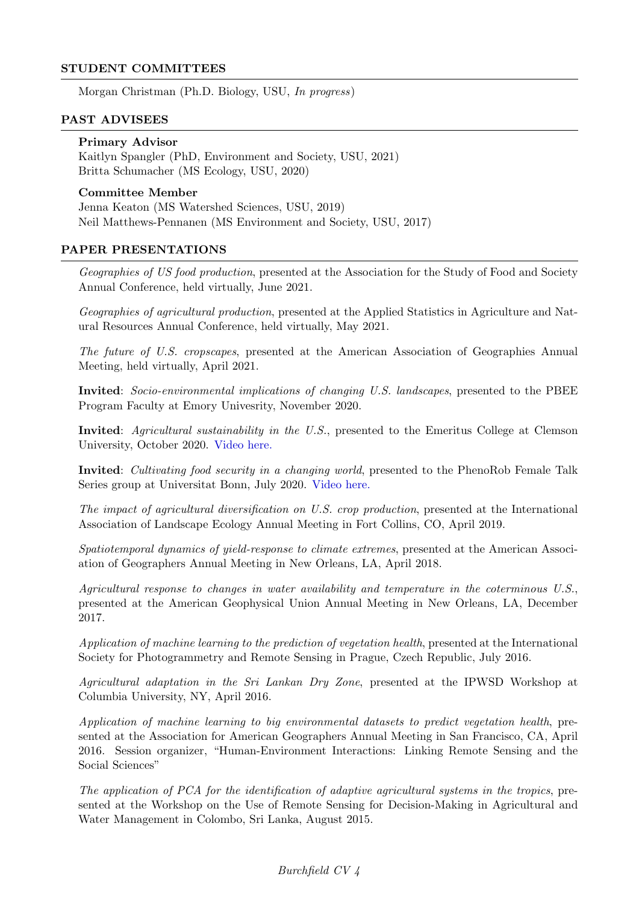# STUDENT COMMITTEES

Morgan Christman (Ph.D. Biology, USU, In progress)

#### PAST ADVISEES

#### Primary Advisor

Kaitlyn Spangler (PhD, Environment and Society, USU, 2021) Britta Schumacher (MS Ecology, USU, 2020)

# Committee Member

Jenna Keaton (MS Watershed Sciences, USU, 2019) Neil Matthews-Pennanen (MS Environment and Society, USU, 2017)

#### PAPER PRESENTATIONS

Geographies of US food production, presented at the Association for the Study of Food and Society Annual Conference, held virtually, June 2021.

Geographies of agricultural production, presented at the Applied Statistics in Agriculture and Natural Resources Annual Conference, held virtually, May 2021.

The future of U.S. cropscapes, presented at the American Association of Geographies Annual Meeting, held virtually, April 2021.

Invited: Socio-environmental implications of changing U.S. landscapes, presented to the PBEE Program Faculty at Emory Univesrity, November 2020.

Invited: Agricultural sustainability in the U.S., presented to the Emeritus College at Clemson University, October 2020. [Video here.](https://clemson.zoom.us/rec/play/D0abokx6cKwRUDHbb-UjMsGSX927n46cjaFevBs1b9NrV_4BwATM9Yk-zqanBGKOcR3fk02J0iyuMK7U.3hpfRMj3BlqH8vq_?continueMode=true&_x_zm_rtaid=zmz4HBABTK-r3D1oL7kzTw.1605886046131.abbc340288488aeba926e90cdad09e28&_x_zm_rhtaid=680)

Invited: Cultivating food security in a changing world, presented to the PhenoRob Female Talk Series group at Universitat Bonn, July 2020. [Video here.](https://www.youtube.com/watch?v=2qbEkD6eQtI)

The impact of agricultural diversification on U.S. crop production, presented at the International Association of Landscape Ecology Annual Meeting in Fort Collins, CO, April 2019.

Spatiotemporal dynamics of yield-response to climate extremes, presented at the American Association of Geographers Annual Meeting in New Orleans, LA, April 2018.

Agricultural response to changes in water availability and temperature in the coterminous U.S., presented at the American Geophysical Union Annual Meeting in New Orleans, LA, December 2017.

Application of machine learning to the prediction of vegetation health, presented at the International Society for Photogrammetry and Remote Sensing in Prague, Czech Republic, July 2016.

Agricultural adaptation in the Sri Lankan Dry Zone, presented at the IPWSD Workshop at Columbia University, NY, April 2016.

Application of machine learning to big environmental datasets to predict vegetation health, presented at the Association for American Geographers Annual Meeting in San Francisco, CA, April 2016. Session organizer, "Human-Environment Interactions: Linking Remote Sensing and the Social Sciences"

The application of PCA for the identification of adaptive agricultural systems in the tropics, presented at the Workshop on the Use of Remote Sensing for Decision-Making in Agricultural and Water Management in Colombo, Sri Lanka, August 2015.

# Burchfield CV 4